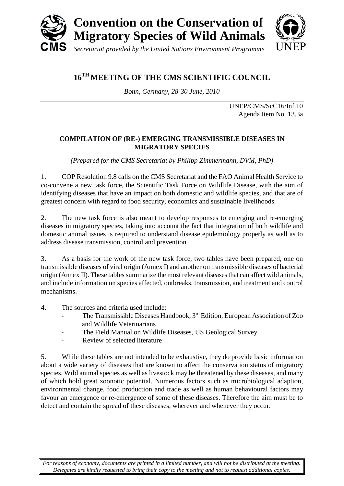

# **16TH MEETING OF THE CMS SCIENTIFIC COUNCIL**

*Bonn, Germany, 28-30 June, 2010*

UNEP/CMS/ScC16/Inf.10 Agenda Item No. 13.3a

#### **COMPILATION OF (RE-) EMERGING TRANSMISSIBLE DISEASES IN MIGRATORY SPECIES**

*(Prepared for the CMS Secretariat by Philipp Zimmermann, DVM, PhD)*

1. COP Resolution 9.8 calls on the CMS Secretariat and the FAO Animal Health Service to co-convene a new task force, the Scientific Task Force on Wildlife Disease, with the aim of identifying diseases that have an impact on both domestic and wildlife species, and that are of greatest concern with regard to food security, economics and sustainable livelihoods.

2. The new task force is also meant to develop responses to emerging and re-emerging diseases in migratory species, taking into account the fact that integration of both wildlife and domestic animal issues is required to understand disease epidemiology properly as well as to address disease transmission, control and prevention.

3. As a basis for the work of the new task force, two tables have been prepared, one on transmissible diseases of viral origin (Annex I) and another on transmissible diseases of bacterial origin (Annex II). These tables summarize the most relevant diseases that can affect wild animals, and include information on species affected, outbreaks, transmission, and treatment and control mechanisms.

- 4. The sources and criteria used include:
	- The Transmissible Diseases Handbook, 3<sup>rd</sup> Edition, European Association of Zoo and Wildlife Veterinarians
	- The Field Manual on Wildlife Diseases, US Geological Survey
	- Review of selected literature

5. While these tables are not intended to be exhaustive, they do provide basic information about a wide variety of diseases that are known to affect the conservation status of migratory species. Wild animal species as well as livestock may be threatened by these diseases, and many of which hold great zoonotic potential. Numerous factors such as microbiological adaption, environmental change, food production and trade as well as human behavioural factors may favour an emergence or re-emergence of some of these diseases. Therefore the aim must be to detect and contain the spread of these diseases, wherever and whenever they occur.

*For reasons of economy, documents are printed in a limited number, and will not be distributed at the meeting. Delegates are kindly requested to bring their copy to the meeting and not to request additional copies.*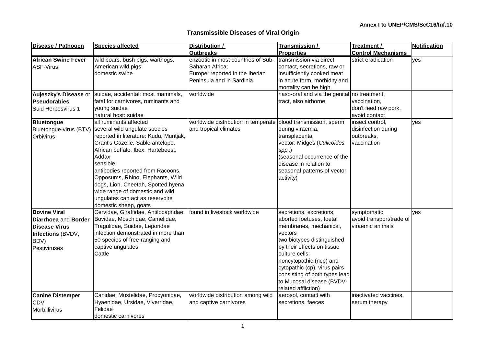| Disease / Pathogen                                                                                               | <b>Species affected</b>                                                                                                                                                                                                                                                                                                                                                                                                               | Distribution /                                                                                                        | Transmission /                                                                                                                                                                                                                                                                                                         | Treatment /                                                         | <b>Notification</b> |
|------------------------------------------------------------------------------------------------------------------|---------------------------------------------------------------------------------------------------------------------------------------------------------------------------------------------------------------------------------------------------------------------------------------------------------------------------------------------------------------------------------------------------------------------------------------|-----------------------------------------------------------------------------------------------------------------------|------------------------------------------------------------------------------------------------------------------------------------------------------------------------------------------------------------------------------------------------------------------------------------------------------------------------|---------------------------------------------------------------------|---------------------|
|                                                                                                                  |                                                                                                                                                                                                                                                                                                                                                                                                                                       | <b>Outbreaks</b>                                                                                                      | <b>Properties</b>                                                                                                                                                                                                                                                                                                      | <b>Control Mechanisms</b>                                           |                     |
| <b>African Swine Fever</b><br><b>ASF-Virus</b>                                                                   | wild boars, bush pigs, warthogs,<br>American wild pigs<br>domestic swine                                                                                                                                                                                                                                                                                                                                                              | enzootic in most countries of Sub-<br>Saharan Africa;<br>Europe: reported in the Iberian<br>Peninsula and in Sardinia | transmission via direct<br>contact, secretions, raw or<br>insufficiently cooked meat<br>in acute form, morbidity and<br>mortality can be high                                                                                                                                                                          | strict eradication                                                  | yes                 |
| Aujeszky's Disease or<br><b>Pseudorabies</b><br>Suid Herpesvirus 1                                               | suidae, accidental: most mammals,<br>fatal for carnivores, ruminants and<br>young suidae<br>natural host: suidae                                                                                                                                                                                                                                                                                                                      | worldwide                                                                                                             | naso-oral and via the genital no treatment,<br>tract, also airborne                                                                                                                                                                                                                                                    | vaccination,<br>don't feed raw pork,<br>avoid contact               |                     |
| Bluetongue<br>Orbivirus                                                                                          | all ruminants affected<br>Bluetongue-virus (BTV) several wild ungulate species<br>reported in literature: Kudu, Muntjak,<br>Grant's Gazelle, Sable antelope,<br>African buffalo, Ibex, Hartebeest,<br>Addax<br>sensible<br>antibodies reported from Racoons,<br>Opposums, Rhino, Elephants, Wild<br>dogs, Lion, Cheetah, Spotted hyena<br>wide range of domestic and wild<br>ungulates can act as reservoirs<br>domestic sheep, goats | worldwide distribution in temperate<br>and tropical climates                                                          | blood transmission, sperm<br>during viraemia,<br>transplacental<br>vector: Midges (Culicoides<br>$spp.$ )<br>(seasonal occurrence of the<br>disease in relation to<br>seasonal patterns of vector<br>activity)                                                                                                         | insect control,<br>disinfection during<br>outbreaks,<br>vaccination | yes                 |
| <b>Bovine Viral</b><br>Diarrhoea and Border<br><b>Disease Virus</b><br>Infections (BVDV,<br>BDV)<br>Pestiviruses | Cervidae, Giraffidae, Antilocapridae,<br>Bovidae, Moschidae, Camelidae,<br>Tragulidae, Suidae, Leporidae<br>infection demonstrated in more than<br>50 species of free-ranging and<br>captive ungulates<br>Cattle                                                                                                                                                                                                                      | found in livestock worldwide                                                                                          | secretions, excretions,<br>aborted foetuses, foetal<br>membranes, mechanical,<br>vectors<br>two biotypes distinguished<br>by their effects on tissue<br>culture cells:<br>noncytopathic (ncp) and<br>cytopathic (cp), virus pairs<br>consisting of both types lead<br>to Mucosal disease (BVDV-<br>related affliction) | symptomatic<br>avoid transport/trade of<br>viraemic animals         | ves                 |
| <b>Canine Distemper</b><br><b>CDV</b><br>Morbillivirus                                                           | Canidae, Mustelidae, Procyonidae,<br>Hyaenidae, Ursidae, Viverridae,<br>Felidae<br>domestic carnivores                                                                                                                                                                                                                                                                                                                                | worldwide distribution among wild<br>and captive carnivores                                                           | aerosol, contact with<br>secretions, faeces                                                                                                                                                                                                                                                                            | inactivated vaccines,<br>serum therapy                              |                     |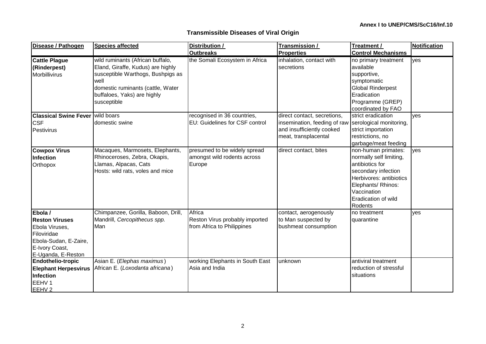| <b>Transmissible Diseases of Viral Origin</b> |  |  |  |
|-----------------------------------------------|--|--|--|
|-----------------------------------------------|--|--|--|

| Disease / Pathogen                                                                                                                 | <b>Species affected</b>                                                                                                                                                                               | Distribution /                                                         | Transmission /                                                                                                   | Treatment /                                                                                                                                                                                | Notification |
|------------------------------------------------------------------------------------------------------------------------------------|-------------------------------------------------------------------------------------------------------------------------------------------------------------------------------------------------------|------------------------------------------------------------------------|------------------------------------------------------------------------------------------------------------------|--------------------------------------------------------------------------------------------------------------------------------------------------------------------------------------------|--------------|
|                                                                                                                                    |                                                                                                                                                                                                       | <b>Outbreaks</b>                                                       | <b>Properties</b>                                                                                                | <b>Control Mechanisms</b>                                                                                                                                                                  |              |
| <b>Cattle Plague</b><br>(Rinderpest)<br>Morbillivirus                                                                              | wild ruminants (African buffalo,<br>Eland, Giraffe, Kudus) are highly<br>susceptible Warthogs, Bushpigs as<br>well<br>domestic ruminants (cattle, Water<br>buffaloes, Yaks) are highly<br>susceptible | the Somali Ecosystem in Africa                                         | inhalation, contact with<br>secretions                                                                           | no primary treatment<br>available<br>supportive,<br>symptomatic<br><b>Global Rinderpest</b><br>Eradication<br>Programme (GREP)<br>coordinated by FAO                                       | yes          |
| <b>Classical Swine Fever wild boars</b><br><b>CSF</b><br>Pestivirus                                                                | domestic swine                                                                                                                                                                                        | recognised in 36 countries,<br>EU: Guidelines for CSF control          | direct contact, secretions,<br>insemination, feeding of raw<br>and insufficiently cooked<br>meat, transplacental | strict eradication<br>serological monitoring,<br>strict importation<br>restrictions, no<br>garbage/meat feeding                                                                            | ves          |
| <b>Cowpox Virus</b><br><b>Infection</b><br>Orthopox                                                                                | Macaques, Marmosets, Elephants,<br>Rhinoceroses, Zebra, Okapis,<br>Llamas, Alpacas, Cats<br>Hosts: wild rats, voles and mice                                                                          | presumed to be widely spread<br>amongst wild rodents across<br>Europe  | direct contact, bites                                                                                            | non-human primates:<br>normally self limiting,<br>antibiotics for<br>secondary infection<br>Herbivores: antibiotics<br>Elephants/ Rhinos:<br>Vaccination<br>Eradication of wild<br>Rodents | yes          |
| Ebola /<br><b>Reston Viruses</b><br>Ebola Viruses,<br>Filoviridae<br>Ebola-Sudan, E-Zaire,<br>E-Ivory Coast,<br>E-Uganda, E-Reston | Chimpanzee, Gorilla, Baboon, Drill,<br>Mandrill, Cercopithecus spp.<br>Man                                                                                                                            | Africa<br>Reston Virus probably imported<br>from Africa to Philippines | contact, aerogenously<br>to Man suspected by<br>bushmeat consumption                                             | no treatment<br>quarantine                                                                                                                                                                 | yes          |
| <b>Endothelio-tropic</b><br><b>Elephant Herpesvirus</b><br>Infection<br>EEHV <sub>1</sub><br>EEHV <sub>2</sub>                     | Asian E. (Elephas maximus)<br>African E. (Loxodanta africana)                                                                                                                                         | working Elephants in South East<br>Asia and India                      | unknown                                                                                                          | antiviral treatment<br>reduction of stressful<br>situations                                                                                                                                |              |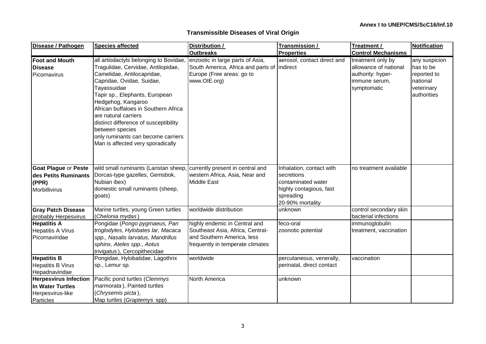| Disease / Pathogen                                                                | <b>Species affected</b>                                                                                                                                                                                                                                                                                                                                                                                              | Distribution /                                                                                                                      | Transmission /                                                                                                           | Treatment /                                                                                     | <b>Notification</b>                                                                |
|-----------------------------------------------------------------------------------|----------------------------------------------------------------------------------------------------------------------------------------------------------------------------------------------------------------------------------------------------------------------------------------------------------------------------------------------------------------------------------------------------------------------|-------------------------------------------------------------------------------------------------------------------------------------|--------------------------------------------------------------------------------------------------------------------------|-------------------------------------------------------------------------------------------------|------------------------------------------------------------------------------------|
|                                                                                   |                                                                                                                                                                                                                                                                                                                                                                                                                      | <b>Outbreaks</b>                                                                                                                    | <b>Properties</b>                                                                                                        | <b>Control Mechanisms</b>                                                                       |                                                                                    |
| <b>Foot and Mouth</b><br><b>Disease</b><br>Picornavirus                           | all artiodactyls belonging to Bovidae<br>Tragulidae, Cervidae, Antilopidae,<br>Camelidae, Antilocapridae,<br>Capridae, Ovidae, Suidae,<br>Tayassuidae<br>Tapir sp., Elephants, European<br>Hedgehog, Kangaroo<br>African buffaloes in Southern Africa<br>are natural carriers<br>distinct difference of susceptibility<br>between species<br>only ruminants can become carriers<br>Man is affected very sporadically | enzootic in large parts of Asia,<br>South America, Africa and parts of   indirect<br>Europe (Free areas: go to<br>www.OIE.org)      | aerosol, contact direct and                                                                                              | treatment only by<br>allowance of national<br>authority: hyper-<br>immune serum,<br>symptomatic | any suspicion<br>has to be<br>reported to<br>national<br>veterinary<br>authorities |
| <b>Goat Plague or Peste</b><br>des Petits Ruminants<br>(PPR)<br>Morbillivirus     | wild small ruminants (Laristan sheep, currently present in central and<br>Dorcas-type gazelles, Gemsbok,<br>Nubian ibex)<br>domestic small ruminants (sheep,<br>goats)                                                                                                                                                                                                                                               | western Africa, Asia, Near and<br><b>Middle East</b>                                                                                | Inhalation, contact with<br>secretions<br>contaminated water<br>highly contagious, fast<br>spreading<br>20-90% mortality | no treatment available                                                                          |                                                                                    |
| <b>Gray Patch Disease</b><br>probably Herpesvirus                                 | Marine turtles, young Green turtles<br>(Chelonia mydas)                                                                                                                                                                                                                                                                                                                                                              | worldwide distribution                                                                                                              | unknown                                                                                                                  | control secondary skin<br>bacterial infections                                                  |                                                                                    |
| <b>Hepatitis A</b><br><b>Hepatitis A Virus</b><br>Picornaviridae                  | Pongidae (Pongo pygmaeus, Pan<br>troglodytes, Hylobates lar, Macaca<br>spp., Nasalis larvatus, Mandrillus<br>sphinx, Ateles spp., Aotus<br>trivigatus), Cercopithecidae                                                                                                                                                                                                                                              | highly endemic in Central and<br>Southeast Asia, Africa, Central-<br>and Southern America, less<br>frequently in temperate climates | feco-oral<br>zoonotic potential                                                                                          | immunoglobulin<br>treatment, vaccination                                                        |                                                                                    |
| <b>Hepatitis B</b><br><b>Hepatitis B Virus</b><br>Hepadnaviridae                  | Pongidae, Hylobatidae, Lagothrix<br>sp., Lemur sp.                                                                                                                                                                                                                                                                                                                                                                   | worldwide                                                                                                                           | percutaneous, venerally,<br>perinatal, direct contact                                                                    | vaccination                                                                                     |                                                                                    |
| <b>Herpesvirus Infection</b><br>In Water Turtles<br>Herpesvirus-like<br>Particles | Pacific pond turtles (Clemmys<br>marmorata), Painted turtles<br>(Chrysemis picta),<br>Map turtles (Graptemys spp)                                                                                                                                                                                                                                                                                                    | North America                                                                                                                       | unknown                                                                                                                  |                                                                                                 |                                                                                    |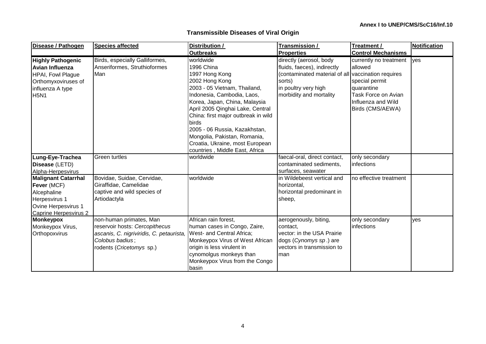| Disease / Pathogen                                                                                                                       | <b>Species affected</b>                                                                                                                              | Distribution /<br><b>Outbreaks</b>                                                                                                                                                                                                                                                                                                                                                   | Transmission /<br><b>Properties</b>                                                                                                                                       | Treatment /<br><b>Control Mechanisms</b>                                                                                           | <b>Notification</b> |
|------------------------------------------------------------------------------------------------------------------------------------------|------------------------------------------------------------------------------------------------------------------------------------------------------|--------------------------------------------------------------------------------------------------------------------------------------------------------------------------------------------------------------------------------------------------------------------------------------------------------------------------------------------------------------------------------------|---------------------------------------------------------------------------------------------------------------------------------------------------------------------------|------------------------------------------------------------------------------------------------------------------------------------|---------------------|
| <b>Highly Pathogenic</b><br><b>Avian Influenza</b><br><b>HPAI, Fowl Plague</b><br>Orthomyxoviruses of<br>influenza A type<br><b>H5N1</b> | Birds, especially Galliformes,<br>Anseriformes, Struthioformes<br>Man                                                                                | worldwide<br>1996 China<br>1997 Hong Kong<br>2002 Hong Kong<br>2003 - 05 Vietnam, Thailand,<br>Indonesia, Cambodia, Laos,<br>Korea, Japan, China, Malaysia<br>April 2005 Qinghai Lake, Central<br>China: first major outbreak in wild<br>birds<br>2005 - 06 Russia, Kazakhstan,<br>Mongolia, Pakistan, Romania,<br>Croatia, Ukraine, most European<br>countries, Middle East, Africa | directly (aerosol, body<br>fluids, faeces), indirectly<br>(contaminated material of all vaccination requires<br>sorts)<br>in poultry very high<br>morbidity and mortality | currently no treatment<br>allowed<br>special permit<br>quarantine<br>Task Force on Avian<br>Influenza and Wild<br>Birds (CMS/AEWA) | yes                 |
| Lung-Eye-Trachea<br>Disease (LETD)<br>Alpha-Herpesvirus                                                                                  | <b>Green turtles</b>                                                                                                                                 | worldwide                                                                                                                                                                                                                                                                                                                                                                            | faecal-oral, direct contact,<br>contaminated sediments,<br>surfaces, seawater                                                                                             | only secondary<br>infections                                                                                                       |                     |
| <b>Malignant Catarrhal</b><br>Fever (MCF)<br>Alcephaline<br>Herpesvirus 1<br>Ovine Herpesvirus 1<br>Caprine Herpesvirus 2                | Bovidae, Suidae, Cervidae,<br>Giraffidae, Camelidae<br>captive and wild species of<br>Artiodactyla                                                   | worldwide                                                                                                                                                                                                                                                                                                                                                                            | in Wildebeest vertical and<br>horizontal,<br>horizontal predominant in<br>sheep,                                                                                          | no effective treatment                                                                                                             |                     |
| <b>Monkeypox</b><br>Monkeypox Virus,<br>Orthopoxvirus                                                                                    | non-human primates, Man<br>reservoir hosts: Cercopithecus<br>ascanis, C. nigriviridis, C. petaurista,<br>Colobus badius;<br>rodents (Cricetomys sp.) | African rain forest,<br>human cases in Congo, Zaire,<br>West- and Central Africa;<br>Monkeypox Virus of West African<br>origin is less virulent in<br>cynomolgus monkeys than<br>Monkeypox Virus from the Congo<br>basin                                                                                                                                                             | aerogenously, biting,<br>contact,<br>vector: in the USA Prairie<br>dogs (Cynomys sp.) are<br>vectors in transmission to<br>man                                            | only secondary<br>infections                                                                                                       | yes                 |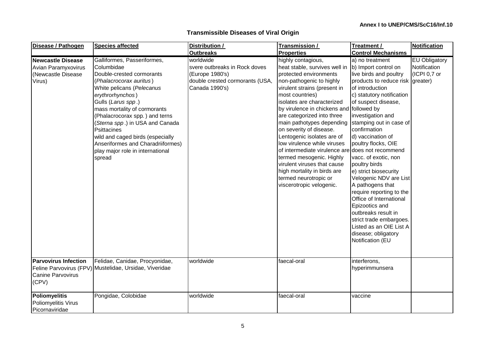| Disease / Pathogen                                                             | <b>Species affected</b>                                                                                                                                                                                                                                                                                                                                                                                             | Distribution /                                                                                                     | Transmission /                                                                                                                                                                                                                                                                                                                                                                                                                                                                                                                                                                               | Treatment /                                                                                                                                                                                                                                                                                                                                                                                                                                                                                                                                                                                               | <b>Notification</b>                           |
|--------------------------------------------------------------------------------|---------------------------------------------------------------------------------------------------------------------------------------------------------------------------------------------------------------------------------------------------------------------------------------------------------------------------------------------------------------------------------------------------------------------|--------------------------------------------------------------------------------------------------------------------|----------------------------------------------------------------------------------------------------------------------------------------------------------------------------------------------------------------------------------------------------------------------------------------------------------------------------------------------------------------------------------------------------------------------------------------------------------------------------------------------------------------------------------------------------------------------------------------------|-----------------------------------------------------------------------------------------------------------------------------------------------------------------------------------------------------------------------------------------------------------------------------------------------------------------------------------------------------------------------------------------------------------------------------------------------------------------------------------------------------------------------------------------------------------------------------------------------------------|-----------------------------------------------|
|                                                                                |                                                                                                                                                                                                                                                                                                                                                                                                                     | <b>Outbreaks</b>                                                                                                   | <b>Properties</b>                                                                                                                                                                                                                                                                                                                                                                                                                                                                                                                                                                            | <b>Control Mechanisms</b>                                                                                                                                                                                                                                                                                                                                                                                                                                                                                                                                                                                 |                                               |
| <b>Newcastle Disease</b><br>Avian Paramyxovirus<br>Newcastle Disease<br>Virus) | Galliformes, Passeriformes,<br>Columbidae<br>Double-crested cormorants<br>(Phalacrocorax auritus)<br>White pelicans (Pelecanus<br>erythrorhynchos)<br>Gulls (Larus spp.)<br>mass mortality of cormorants<br>(Phalacrocorax spp.) and terns<br>(Sterna spp.) in USA and Canada<br>Psittacines<br>wild and caged birds (especially<br>Anseriformes and Charadriiformes)<br>play major role in international<br>spread | worldwide<br>svere outbreaks in Rock doves<br>(Europe 1980's)<br>double crested cormorants (USA,<br>Canada 1990's) | highly contagious,<br>heat stable, survives well in<br>protected environments<br>non-pathogenic to highly<br>virulent strains (present in<br>most countries)<br>isolates are characterized<br>by virulence in chickens and followed by<br>are categorized into three<br>main pathotypes depending<br>on severity of disease.<br>Lentogenic isolates are of<br>low virulence while viruses<br>of intermediate virulence are does not recommend<br>termed mesogenic. Highly<br>virulent viruses that cause<br>high mortality in birds are<br>termed neurotropic or<br>viscerotropic velogenic. | a) no treatment<br>b) Import control on<br>live birds and poultry<br>products to reduce risk greater)<br>of introduction<br>c) statutory notification<br>of suspect disease,<br>investigation and<br>stamping out in case of<br>confirmation<br>d) vaccination of<br>poultry flocks, OIE<br>vacc. of exotic, non<br>poultry birds<br>e) strict biosecurity<br>Velogenic NDV are List<br>A pathogens that<br>require reporting to the<br>Office of International<br>Epizootics and<br>outbreaks result in<br>strict trade embargoes.<br>Listed as an OIE List A<br>disease; obligatory<br>Notification (EU | EU Obligatory<br>Notification<br>(ICPI 0,7 or |
| <b>Parvovirus Infection</b><br><b>Canine Parvovirus</b><br>(CPV)               | Felidae, Canidae, Procyonidae,<br>Feline Parvovirus (FPV) Mustelidae, Ursidae, Viveridae                                                                                                                                                                                                                                                                                                                            | worldwide                                                                                                          | faecal-oral                                                                                                                                                                                                                                                                                                                                                                                                                                                                                                                                                                                  | interferons,<br>hyperimmunsera                                                                                                                                                                                                                                                                                                                                                                                                                                                                                                                                                                            |                                               |
| <b>Poliomyelitis</b><br>Poliomyelitis Virus<br>Picornaviridae                  | Pongidae, Colobidae                                                                                                                                                                                                                                                                                                                                                                                                 | worldwide                                                                                                          | faecal-oral                                                                                                                                                                                                                                                                                                                                                                                                                                                                                                                                                                                  | vaccine                                                                                                                                                                                                                                                                                                                                                                                                                                                                                                                                                                                                   |                                               |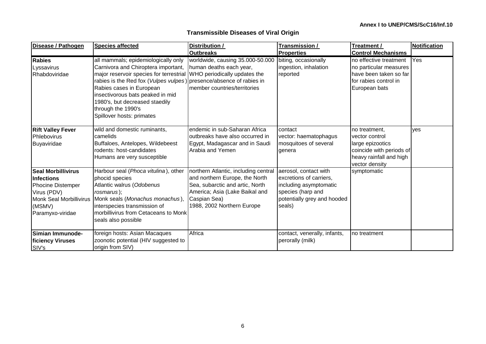| Disease / Pathogen                                                                                                                                        | <b>Species affected</b>                                                                                                                                                                                                                                                                                                                                                        | Distribution /                                                                                                                                                                            | Transmission /                                                                                                                           | Treatment /                                                                                                                  | <b>Notification</b> |
|-----------------------------------------------------------------------------------------------------------------------------------------------------------|--------------------------------------------------------------------------------------------------------------------------------------------------------------------------------------------------------------------------------------------------------------------------------------------------------------------------------------------------------------------------------|-------------------------------------------------------------------------------------------------------------------------------------------------------------------------------------------|------------------------------------------------------------------------------------------------------------------------------------------|------------------------------------------------------------------------------------------------------------------------------|---------------------|
|                                                                                                                                                           |                                                                                                                                                                                                                                                                                                                                                                                | <b>Outbreaks</b>                                                                                                                                                                          | <b>Properties</b>                                                                                                                        | <b>Control Mechanisms</b>                                                                                                    |                     |
| <b>Rabies</b><br>Lyssavirus<br>Rhabdoviridae                                                                                                              | all mammals; epidemiologically only<br>Carnivora and Chiroptera important,<br>major reservoir species for terrestrial WHO periodically updates the<br>rabies is the Red fox (Vulpes vulpes) presence/absence of rabies in<br>Rabies cases in European<br>insectivorous bats peaked in mid<br>1980's, but decreased staedily<br>through the 1990's<br>Spillover hosts: primates | worldwide, causing 35.000-50.000<br>human deaths each year,<br>member countries/territories                                                                                               | biting, occasionally<br>ingestion, inhalation<br>reported                                                                                | no effective treatment<br>no particular measures<br>have been taken so far<br>for rabies control in<br>European bats         | Yes                 |
| <b>Rift Valley Fever</b><br>Phlebovirus<br>Buyaviridae                                                                                                    | wild and domestic ruminants,<br>camelids<br>Buffaloes, Antelopes, Wildebeest<br>rodents: host-candidates<br>Humans are very susceptible                                                                                                                                                                                                                                        | endemic in sub-Saharan Africa<br>outbreaks have also occurred in<br>Egypt, Madagascar and in Saudi<br>Arabia and Yemen                                                                    | contact<br>vector: haematophagus<br>mosquitoes of several<br>genera                                                                      | no treatment,<br>vector control<br>large epizootics<br>coincide with periods of<br>heavy rainfall and high<br>vector density | ves                 |
| <b>Seal Morbillivirus</b><br><b>Infections</b><br><b>Phocine Distemper</b><br>Virus (PDV)<br><b>Monk Seal Morbillivirus</b><br>(MSMV)<br>Paramyxo-viridae | Harbour seal (Phoca vitulina), other<br>phocid species<br>Atlantic walrus (Odobenus<br>rosmarus);<br>Monk seals (Monachus monachus),<br>interspecies transmission of<br>morbillivirus from Cetaceans to Monk<br>seals also possible                                                                                                                                            | northern Atlantic, including central<br>and northern Europe, the North<br>Sea, subarctic and artic, North<br>America; Asia (Lake Baikal and<br>Caspian Sea)<br>1988, 2002 Northern Europe | aerosol, contact with<br>excretions of carriers,<br>including asymptomatic<br>species (harp and<br>potentially grey and hooded<br>seals) | symptomatic                                                                                                                  |                     |
| Simian Immunode-<br>ficiency Viruses<br>SIV's                                                                                                             | foreign hosts: Asian Macaques<br>zoonotic potential (HIV suggested to<br>origin from SIV)                                                                                                                                                                                                                                                                                      | Africa                                                                                                                                                                                    | contact, venerally, infants,<br>perorally (milk)                                                                                         | no treatment                                                                                                                 |                     |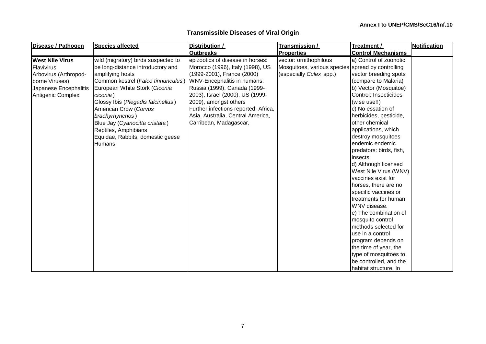| Disease / Pathogen                                                                                                            | <b>Species affected</b>                                                                                                                                                                                                                                                                                                                                                          | Distribution /                                                                                                                                                                                                                                                                                                                       | Transmission /                                                                                         | Treatment /                                                                                                                                                                                                                                                                                                                                                                                                                                                                                                                                                                                                                                                                                         | <b>Notification</b> |
|-------------------------------------------------------------------------------------------------------------------------------|----------------------------------------------------------------------------------------------------------------------------------------------------------------------------------------------------------------------------------------------------------------------------------------------------------------------------------------------------------------------------------|--------------------------------------------------------------------------------------------------------------------------------------------------------------------------------------------------------------------------------------------------------------------------------------------------------------------------------------|--------------------------------------------------------------------------------------------------------|-----------------------------------------------------------------------------------------------------------------------------------------------------------------------------------------------------------------------------------------------------------------------------------------------------------------------------------------------------------------------------------------------------------------------------------------------------------------------------------------------------------------------------------------------------------------------------------------------------------------------------------------------------------------------------------------------------|---------------------|
|                                                                                                                               |                                                                                                                                                                                                                                                                                                                                                                                  | <b>Outbreaks</b>                                                                                                                                                                                                                                                                                                                     | <b>Properties</b>                                                                                      | <b>Control Mechanisms</b>                                                                                                                                                                                                                                                                                                                                                                                                                                                                                                                                                                                                                                                                           |                     |
| <b>West Nile Virus</b><br>Flavivirus<br>Arbovirus (Arthropod-<br>borne Viruses)<br>Japanese Encephalitis<br>Antigenic Complex | wild (migratory) birds suspected to<br>be long-distance introductory and<br>amplifying hosts<br>Common kestrel (Falco tinnunculus)<br>European White Stork (Ciconia<br>ciconia)<br>Glossy Ibis (Plegadis falcinellus)<br>American Crow (Corvus<br>brachyrhynchos)<br>Blue Jay (Cyanocitta cristata)<br>Reptiles, Amphibians<br>Equidae, Rabbits, domestic geese<br><b>Humans</b> | epizootics of disease in horses:<br>Morocco (1996), Italy (1998), US<br>(1999-2001), France (2000)<br>WNV-Encephalitis in humans:<br>Russia (1999), Canada (1999-<br>2003), Israel (2000), US (1999-<br>2009), amongst others<br>Further infections reported: Africa,<br>Asia, Australia, Central America,<br>Carribean, Madagascar, | vector: ornithophilous<br>Mosquitoes, various species spread by controlling<br>(especially Culex spp.) | a) Control of zoonotic<br>vector breeding spots<br>(compare to Malaria)<br>b) Vector (Mosquitoe)<br>Control: Insecticides<br>(wise use!!)<br>c) No essation of<br>herbicides, pesticide,<br>other chemical<br>applications, which<br>destroy mosquitoes<br>endemic endemic<br>predators: birds, fish,<br>insects<br>d) Although licensed<br>West Nile Virus (WNV)<br>vaccines exist for<br>horses, there are no<br>specific vaccines or<br>treatments for human<br>WNV disease.<br>e) The combination of<br>mosquito control<br>methods selected for<br>use in a control<br>program depends on<br>the time of year, the<br>type of mosquitoes to<br>be controlled, and the<br>habitat structure. In |                     |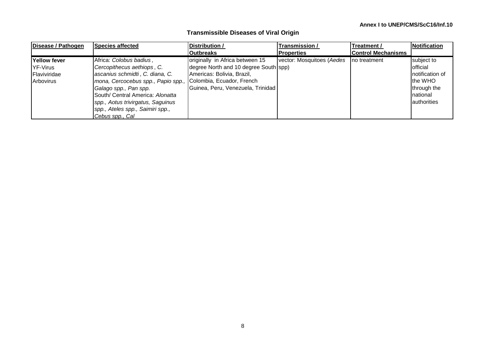| Disease / Pathogen  | Species affected                   | Distribution /                        | Transmission /            | Treatment /               | <b>Notification</b> |
|---------------------|------------------------------------|---------------------------------------|---------------------------|---------------------------|---------------------|
|                     |                                    | <b>Outbreaks</b>                      | <b>Properties</b>         | <b>Control Mechanisms</b> |                     |
| <b>Yellow fever</b> | Africa: Colobus badius,            | originally in Africa between 15       | vector: Mosquitoes (Aedes | Ino treatment             | subject to          |
| <b>YF-Virus</b>     | Cercopithecus aethiops, C.         | degree North and 10 degree South spp) |                           |                           | <b>official</b>     |
| Flaviviridae        | ascanius schmidti, C. diana, C.    | Americas: Bolivia, Brazil,            |                           |                           | Inotification of    |
| Arbovirus           | mona, Cercocebus spp., Papio spp., | Colombia, Ecuador, French             |                           |                           | the WHO             |
|                     | Galago spp., Pan spp.              | Guinea, Peru, Venezuela, Trinidad     |                           |                           | through the         |
|                     | South/ Central America: Alonatta   |                                       |                           |                           | Inational           |
|                     | spp., Aotus trivirgatus, Saguinus  |                                       |                           |                           | authorities         |
|                     | spp., Ateles spp., Saimiri spp.,   |                                       |                           |                           |                     |
|                     | Cebus spp., Cal                    |                                       |                           |                           |                     |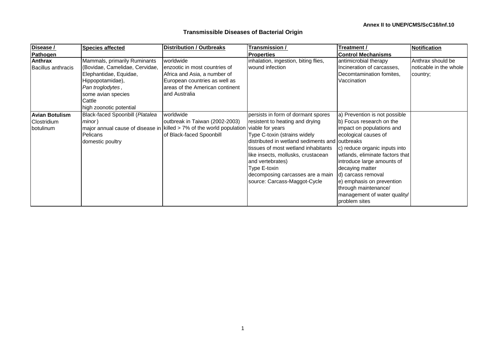| Disease /                 | <b>Species affected</b>         | <b>Distribution / Outbreaks</b>                                                              | <u>Transmission /</u>                          | Treatment /                     | <b>Notification</b>    |
|---------------------------|---------------------------------|----------------------------------------------------------------------------------------------|------------------------------------------------|---------------------------------|------------------------|
| Pathogen                  |                                 |                                                                                              | <b>Properties</b>                              | <b>Control Mechanisms</b>       |                        |
| <b>Anthrax</b>            | Mammals, primarily Ruminants    | worldwide                                                                                    | inhalation, ingestion, biting flies,           | antimicrobial therapy           | Anthrax should be      |
| <b>Bacillus anthracis</b> | (Bovidae, Camelidae, Cervidae,  | enzootic in most countries of                                                                | wound infection                                | Incineration of carcasses,      | noticable in the whole |
|                           | Elephantidae, Equidae,          | Africa and Asia, a number of                                                                 |                                                | Decomtamination fomites,        | country;               |
|                           | Hippopotamidae),                | European countries as well as                                                                |                                                | Vaccination                     |                        |
|                           | Pan troglodytes,                | areas of the American continent                                                              |                                                |                                 |                        |
|                           | some avian species              | and Australia                                                                                |                                                |                                 |                        |
|                           | Cattle                          |                                                                                              |                                                |                                 |                        |
|                           | high zoonotic potential         |                                                                                              |                                                |                                 |                        |
| <b>Avian Botulism</b>     | Black-faced Spoonbill (Platalea | worldwide                                                                                    | persists in form of dormant spores             | a) Prevention is not possible   |                        |
| <b>Clostridium</b>        | minor)                          | outbreak in Taiwan (2002-2003)                                                               | resistent to heating and drying                | b) Focus research on the        |                        |
| botulinum                 |                                 | major annual cause of disease in   killed $> 7\%$ of the world population   viable for years |                                                | impact on populations and       |                        |
|                           | Pelicans                        | of Black-faced Spoonbill                                                                     | Type C-toxin (strains widely                   | ecological causes of            |                        |
|                           | domestic poultry                |                                                                                              | distributed in wetland sediments and outbreaks |                                 |                        |
|                           |                                 |                                                                                              | Itissues of most wetland inhabitants           | c) reduce organic inputs into   |                        |
|                           |                                 |                                                                                              | like insects, mollusks, crustacean             | wtlands, eliminate factors that |                        |
|                           |                                 |                                                                                              | and vertebrates)                               | introduce large amounts of      |                        |
|                           |                                 |                                                                                              | Type E-toxin                                   | decaying matter                 |                        |
|                           |                                 |                                                                                              | decomposing carcasses are a main               | d) carcass removal              |                        |
|                           |                                 |                                                                                              | source: Carcass-Maggot-Cycle                   | e) emphasis on prevention       |                        |
|                           |                                 |                                                                                              |                                                | through maintenance/            |                        |
|                           |                                 |                                                                                              |                                                | management of water quality/    |                        |
|                           |                                 |                                                                                              |                                                | problem sites                   |                        |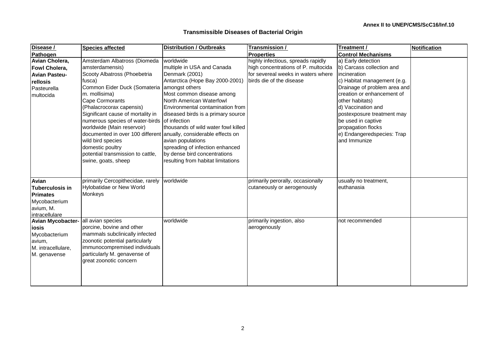| Disease /                           | <b>Species affected</b>                                           | <b>Distribution / Outbreaks</b>     | Transmission /                      | Treatment /                  | <b>Notification</b> |
|-------------------------------------|-------------------------------------------------------------------|-------------------------------------|-------------------------------------|------------------------------|---------------------|
| Pathogen                            |                                                                   |                                     | <b>Properties</b>                   | <b>Control Mechanisms</b>    |                     |
| Avian Cholera,                      | Amsterdam Albatross (Diomeda                                      | worldwide                           | highly infectious, spreads rapidly  | a) Early detection           |                     |
| <b>Fowl Cholera,</b>                | amsterdamensis)                                                   | multiple in USA and Canada          | high concentrations of P. multocida | b) Carcass collection and    |                     |
| <b>Avian Pasteu-</b>                | Scooty Albatross (Phoebetria                                      | Denmark (2001)                      | for severeal weeks in waters where  | incineration                 |                     |
| rellosis                            | fusca)                                                            | Antarctica (Hope Bay 2000-2001)     | birds die of the disease            | c) Habitat management (e.g.  |                     |
| Pasteurella                         | Common Eider Duck (Somateria                                      | amongst others                      |                                     | Drainage of problem area and |                     |
| multocida                           | m. mollisima)                                                     | Most common disease among           |                                     | creation or enhancement of   |                     |
|                                     | <b>Cape Cormorants</b>                                            | North American Waterfowl            |                                     | other habitats)              |                     |
|                                     | (Phalacrocorax capensis)                                          | Environmental contamination from    |                                     | d) Vaccination and           |                     |
|                                     | Significant cause of mortality in                                 | diseased birds is a primary source  |                                     | postexposure treatment may   |                     |
|                                     | numerous species of water-birds of infection                      |                                     |                                     | be used in captive           |                     |
|                                     | worldwide (Main reservoir)                                        | thousands of wild water fowl killed |                                     | propagation flocks           |                     |
|                                     | documented in over 100 different anually, considerable effects on |                                     |                                     | e) Endangeredspecies: Trap   |                     |
|                                     | wild bird species                                                 | avian populations                   |                                     | and Immunize                 |                     |
|                                     | domestic poultry                                                  | spreading of infection enhanced     |                                     |                              |                     |
|                                     | potential transmission to cattle,                                 | by dense bird concentrations        |                                     |                              |                     |
|                                     | swine, goats, sheep                                               | resulting from habitat limitations  |                                     |                              |                     |
|                                     |                                                                   |                                     |                                     |                              |                     |
|                                     |                                                                   |                                     |                                     |                              |                     |
| Avian                               | primarily Cercopithecidae, rarely                                 | worldwide                           | primarily perorally, occasionally   | usually no treatment,        |                     |
| <b>Tuberculosis in</b>              | Hylobatidae or New World                                          |                                     | cutaneously or aerogenously         | euthanasia                   |                     |
| <b>IPrimates</b>                    | Monkeys                                                           |                                     |                                     |                              |                     |
| Mycobacterium                       |                                                                   |                                     |                                     |                              |                     |
| avium, M.                           |                                                                   |                                     |                                     |                              |                     |
| intracellulare                      |                                                                   |                                     |                                     |                              |                     |
| Avian Mycobacter- all avian species |                                                                   | worldwide                           | primarily ingestion, also           | not recommended              |                     |
| <b>josis</b>                        | porcine, bovine and other                                         |                                     | aerogenously                        |                              |                     |
| Mycobacterium                       | mammals subclinically infected                                    |                                     |                                     |                              |                     |
| avium,                              | zoonotic potential particularly                                   |                                     |                                     |                              |                     |
| M. intracellulare,                  | immunocompremised individuals                                     |                                     |                                     |                              |                     |
| M. genavense                        | particularly M. genavense of                                      |                                     |                                     |                              |                     |
|                                     | great zoonotic concern                                            |                                     |                                     |                              |                     |
|                                     |                                                                   |                                     |                                     |                              |                     |
|                                     |                                                                   |                                     |                                     |                              |                     |
|                                     |                                                                   |                                     |                                     |                              |                     |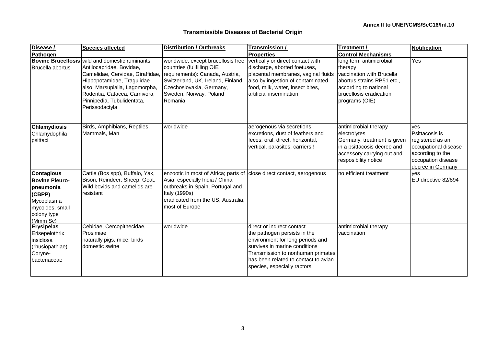| Disease /                                                                                                                     | <b>Species affected</b>                                                                                                                                                                                                                                                | <b>Distribution / Outbreaks</b>                                                                                                                                                                                      | Transmission /                                                                                                                                                                                                                               | Treatment /                                                                                                                                                         | Notification                                                                                                                     |
|-------------------------------------------------------------------------------------------------------------------------------|------------------------------------------------------------------------------------------------------------------------------------------------------------------------------------------------------------------------------------------------------------------------|----------------------------------------------------------------------------------------------------------------------------------------------------------------------------------------------------------------------|----------------------------------------------------------------------------------------------------------------------------------------------------------------------------------------------------------------------------------------------|---------------------------------------------------------------------------------------------------------------------------------------------------------------------|----------------------------------------------------------------------------------------------------------------------------------|
| Pathogen                                                                                                                      |                                                                                                                                                                                                                                                                        |                                                                                                                                                                                                                      | <b>Properties</b>                                                                                                                                                                                                                            | <b>Control Mechanisms</b>                                                                                                                                           |                                                                                                                                  |
| Brucella abortus                                                                                                              | <b>Bovine Brucellosis</b> wild and domestic ruminants<br>Antilocapridae, Bovidae,<br>Camelidae, Cervidae, Giraffidae,<br>Hippopotamidae, Tragulidae<br>also: Marsupialia, Lagomorpha,<br>Rodentia, Catacea, Carnivora,<br>Pinnipedia, Tubulidentata,<br>Perissodactyla | worldwide, except brucellosis free<br>countries (fullfilling OIE<br>requirements): Canada, Austria,<br>Switzerland, UK, Ireland, Finland,<br>Czechoslovakia, Germany,<br>Sweden, Norway, Poland<br>Romania           | vertically or direct contact with<br>discharge, aborted foetuses,<br>placental membranes, vaginal fluids<br>also by ingestion of contaminated<br>food, milk, water, insect bites,<br>artificial insemination                                 | long term antimicrobial<br>therapy<br>vaccination with Brucella<br>abortus strains RB51 etc.,<br>according to national<br>brucellosis eradication<br>programs (OIE) | Yes                                                                                                                              |
| <b>Chlamydiosis</b><br>Chlamydophila<br>psittaci                                                                              | Birds, Amphibians, Reptiles,<br>Mammals, Man                                                                                                                                                                                                                           | worldwide                                                                                                                                                                                                            | aerogenous via secretions,<br>excretions, dust of feathers and<br>feces, oral, direct, horizontal,<br>vertical, parasites, carriers!!                                                                                                        | antimicrobial therapy<br>electrolytes<br>Germany: treatment is given<br>in a psittacosis decree and<br>accessory carrying out and<br>resposibility notice           | ves<br>Psittacosis is<br>registered as an<br>occupational disease<br>according to the<br>occupation disease<br>decree in Germany |
| <b>Contagious</b><br><b>Bovine Pleuro-</b><br>pneumonia<br>(CBPP)<br>Mycoplasma<br>mycoides, small<br>colony type<br>(Mmm Sc) | Cattle (Bos spp), Buffalo, Yak,<br>Bison, Reindeer, Sheep, Goat,<br>Wild bovids and camelids are<br>resistant                                                                                                                                                          | enzootic in most of Africa; parts of close direct contact, aerogenous<br>Asia, especially India / China<br>outbreaks in Spain, Portugal and<br>Italy (1990s)<br>eradicated from the US, Australia,<br>most of Europe |                                                                                                                                                                                                                                              | no efficient treatment                                                                                                                                              | yes<br>EU directive 82/894                                                                                                       |
| <b>Erysipelas</b><br>Erisepelothrix<br>insidiosa<br>(rhusiopathiae)<br>Coryne-<br>bacteriaceae                                | Cebidae, Cercopithecidae,<br>Prosimiae<br>naturally pigs, mice, birds<br>domestic swine                                                                                                                                                                                | worldwide                                                                                                                                                                                                            | direct or indirect contact<br>the pathogen persists in the<br>environment for long periods and<br>survives in marine conditions<br>Transmission to nonhuman primates<br>thas been related to contact to avian<br>species, especially raptors | antimicrobial therapy<br>vaccination                                                                                                                                |                                                                                                                                  |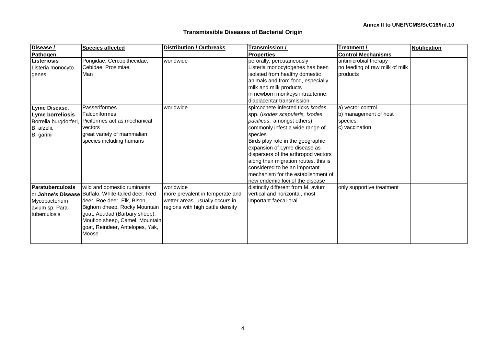| Disease /                                                                               | <b>Species affected</b>                                                                                                                                                                                                                                          | <b>Distribution / Outbreaks</b>                                                                                     | Transmission /                                                                                                                                                                                                                                                                                                                                                                                                                  | Treatment /                                                             | Notification |
|-----------------------------------------------------------------------------------------|------------------------------------------------------------------------------------------------------------------------------------------------------------------------------------------------------------------------------------------------------------------|---------------------------------------------------------------------------------------------------------------------|---------------------------------------------------------------------------------------------------------------------------------------------------------------------------------------------------------------------------------------------------------------------------------------------------------------------------------------------------------------------------------------------------------------------------------|-------------------------------------------------------------------------|--------------|
| Pathogen                                                                                |                                                                                                                                                                                                                                                                  |                                                                                                                     | <b>Properties</b>                                                                                                                                                                                                                                                                                                                                                                                                               | <b>Control Mechanisms</b>                                               |              |
| Listeriosis<br>Listeria monocyto-<br>genes                                              | Pongidae, Cercopithecidae,<br>Cebidae, Prosimiae,<br>Man                                                                                                                                                                                                         | worldwide                                                                                                           | perorally, percutaneously<br>Listeria monocytogenes has been<br>isolated from healthy domestic<br>animals and from food, especially<br>milk and milk products<br>in newborn monkeys intrauterine,<br>diaplacentar transmission                                                                                                                                                                                                  | antimicrobial therapy<br>no feeding of raw milk of milk<br>products     |              |
| Lyme Disease,<br>Lyme borreliosis<br>Borrelia burgdorferi,<br>B. afzelii,<br>B. garinii | Passeriformes<br>Falconiformes<br>Piciformes act as mechanical<br>vectors<br>great variety of mammalian<br>species including humans                                                                                                                              | worldwide                                                                                                           | spircochete-infected ticks Ixodes<br>spp. ( <i>Ixodes scapularis</i> , <i>Ixodes</i><br>pacificus, amongst others)<br>commonly infest a wide range of<br>species<br>Birds play role in the geographic<br>expansion of Lyme disease as<br>dispersers of the arthropod vectors<br>along their migration routes, this is<br>considered to be an important<br>mechanism for the establishment of<br>new endemic foci of the disease | a) vector control<br>b) management of host<br>species<br>c) vaccination |              |
| <b>Paratuberculosis</b><br>Mycobacterium<br>avium sp. Para-<br>tuberculosis             | wild and domestic ruminants<br>or Johne's Disease Buffalo, White-tailed deer, Red<br>deer, Roe deer, Elk, Bison,<br>Bighorn dheep, Rocky Mountain<br>goat, Aoudad (Barbary sheep),<br>Mouflon sheep, Camel, Mountain<br>goat, Reindeer, Antelopes, Yak,<br>Moose | worldwide<br>more prevalent in temperate and<br>wetter areas, usually occurs in<br>regions with high cattle density | distinctly different from M. avium<br>vertical and horizontal, most<br>important faecal-oral                                                                                                                                                                                                                                                                                                                                    | only supportive treatment                                               |              |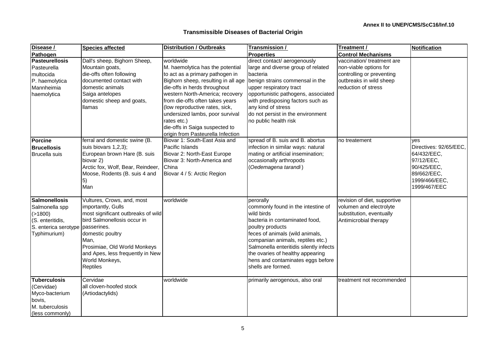| Disease /                        | <b>Species affected</b>            | <b>Distribution / Outbreaks</b>     | Transmission /                          | Treatment /                  | Notification           |
|----------------------------------|------------------------------------|-------------------------------------|-----------------------------------------|------------------------------|------------------------|
| Pathogen                         |                                    |                                     | <b>Properties</b>                       | <b>Control Mechanisms</b>    |                        |
| <b>Pasteurellosis</b>            | Dall's sheep, Bighorn Sheep,       | worldwide                           | direct contact/ aerogenously            | vaccination/treatment are    |                        |
| Pasteurella                      | Mountain goats,                    | M. haemolytica has the potential    | large and diverse group of related      | non-viable options for       |                        |
| multocida                        | die-offs often following           | to act as a primary pathogen in     | bacteria                                | controlling or preventing    |                        |
| P. haemolytica                   | documented contact with            | Bighorn sheep, resulting in all age | benign strains commensal in the         | outbreaks in wild sheep      |                        |
| Mannheimia                       | domestic animals                   | die-offs in herds throughout        | upper respiratory tract                 | reduction of stress          |                        |
| haemolytica                      | Saiga antelopes                    | western North-America; recovery     | opportunistic pathogens, associated     |                              |                        |
|                                  | domestic sheep and goats,          | from die-offs often takes years     | with predisposing factors such as       |                              |                        |
|                                  | <b>Ilamas</b>                      | (low reproductive rates, sick,      | any kind of stress                      |                              |                        |
|                                  |                                    | undersized lambs, poor survival     | do not persist in the environment       |                              |                        |
|                                  |                                    | rates etc.)                         | no public health risk                   |                              |                        |
|                                  |                                    | die-offs in Saiga suspected to      |                                         |                              |                        |
|                                  |                                    | origin from Pasteurella Infection   |                                         |                              |                        |
| Porcine                          | ferral and domestic swine (B.      | Biovar 1: South-East Asia and       | spread of B. suis and B. abortus        | no treatement                | ves                    |
| <b>Brucellosis</b>               | suis biovars 1,2,3);               | Pacific Islands                     | infection in similar ways: natural      |                              | Directives: 92/65/EEC, |
| Brucella suis                    | European brown Hare (B. suis       | Biovar 2: North-East Europe         | mating or artificial insemination;      |                              | 64/432/EEC,            |
|                                  | biovar 2)                          | Biovar 3: North-America and         | occasionally arthropods                 |                              | 97/12/EEC,             |
|                                  | Arctic fox, Wolf, Bear, Reindeer,  | China                               | (Oedemagena tarandi)                    |                              | 90/425/EEC,            |
|                                  | Moose, Rodents (B. suis 4 and      | Biovar 4 / 5: Arctic Region         |                                         |                              | 89/662/EEC,            |
|                                  | 5)                                 |                                     |                                         |                              | 1999/466/EEC,          |
|                                  | Man                                |                                     |                                         |                              | 1999/467/EEC           |
|                                  |                                    |                                     |                                         |                              |                        |
| <b>Salmonellosis</b>             | Vultures, Crows, and, most         | worldwide                           | perorally                               | revision of diet, supportive |                        |
| Salmonella spp                   | importantly, Gulls                 |                                     | commonly found in the intestine of      | volumen and electrolyte      |                        |
| ( > 1800)                        | most significant outbreaks of wild |                                     | wild birds                              | substitution, eventually     |                        |
| (S. enteritidis,                 | bird Salmonellosis occur in        |                                     | bacteria in contaminated food,          | Antimicrobial therapy        |                        |
| S. enterica serotype passerines. |                                    |                                     | poultry products                        |                              |                        |
| Typhimurium)                     | domestic poultry                   |                                     | feces of animals (wild animals,         |                              |                        |
|                                  | Man,                               |                                     | companian animals, reptiles etc.)       |                              |                        |
|                                  | Prosimiae, Old World Monkeys       |                                     | Salmonella enteritidis silently infects |                              |                        |
|                                  | and Apes, less frequently in New   |                                     | the ovaries of healthy appearing        |                              |                        |
|                                  | World Monkeys,                     |                                     | hens and contaminates eggs before       |                              |                        |
|                                  | Reptiles                           |                                     | shells are formed.                      |                              |                        |
|                                  |                                    |                                     |                                         |                              |                        |
| <b>Tuberculosis</b>              | Cervidae                           | worldwide                           | primarily aerogenous, also oral         | treatment not recommended    |                        |
| (Cervidae)                       | all cloven-hoofed stock            |                                     |                                         |                              |                        |
| Myco-bacterium                   | (Artiodactylids)                   |                                     |                                         |                              |                        |
| bovis,                           |                                    |                                     |                                         |                              |                        |
| M. tuberculosis                  |                                    |                                     |                                         |                              |                        |
| (less commonly)                  |                                    |                                     |                                         |                              |                        |